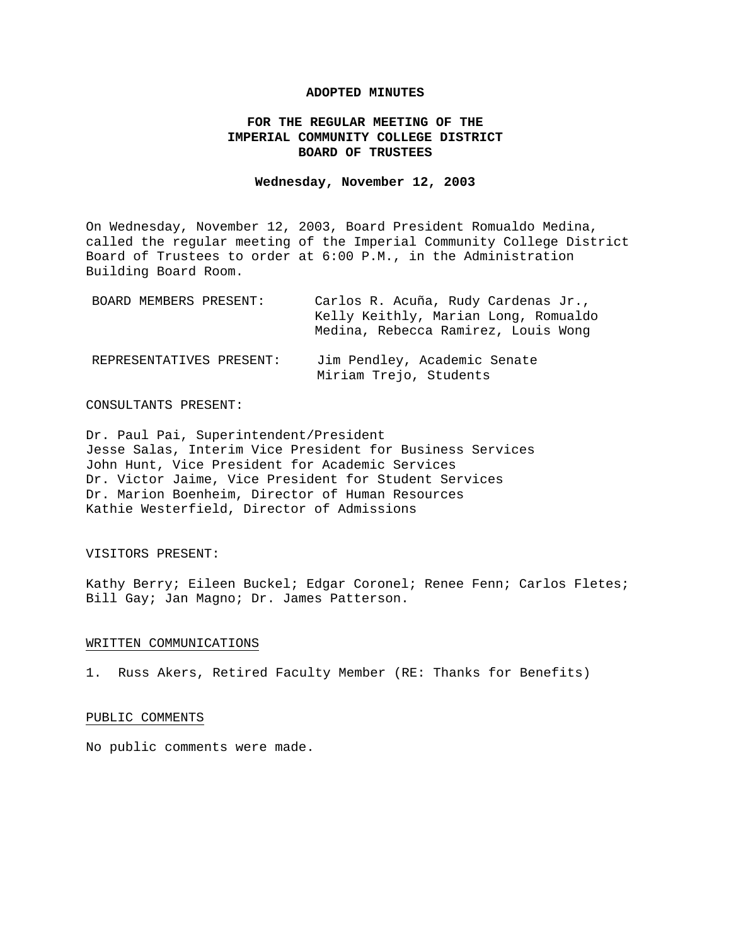## **ADOPTED MINUTES**

# **FOR THE REGULAR MEETING OF THE IMPERIAL COMMUNITY COLLEGE DISTRICT BOARD OF TRUSTEES**

# **Wednesday, November 12, 2003**

On Wednesday, November 12, 2003, Board President Romualdo Medina, called the regular meeting of the Imperial Community College District Board of Trustees to order at 6:00 P.M., in the Administration Building Board Room.

| BOARD MEMBERS PRESENT:   | Carlos R. Acuña, Rudy Cardenas Jr.,<br>Kelly Keithly, Marian Long, Romualdo<br>Medina, Rebecca Ramirez, Louis Wong |
|--------------------------|--------------------------------------------------------------------------------------------------------------------|
| REPRESENTATIVES PRESENT: | Jim Pendley, Academic Senate<br>Miriam Trejo, Students                                                             |

### CONSULTANTS PRESENT:

Dr. Paul Pai, Superintendent/President Jesse Salas, Interim Vice President for Business Services John Hunt, Vice President for Academic Services Dr. Victor Jaime, Vice President for Student Services Dr. Marion Boenheim, Director of Human Resources Kathie Westerfield, Director of Admissions

### VISITORS PRESENT:

Kathy Berry; Eileen Buckel; Edgar Coronel; Renee Fenn; Carlos Fletes; Bill Gay; Jan Magno; Dr. James Patterson.

## WRITTEN COMMUNICATIONS

1. Russ Akers, Retired Faculty Member (RE: Thanks for Benefits)

#### PUBLIC COMMENTS

No public comments were made.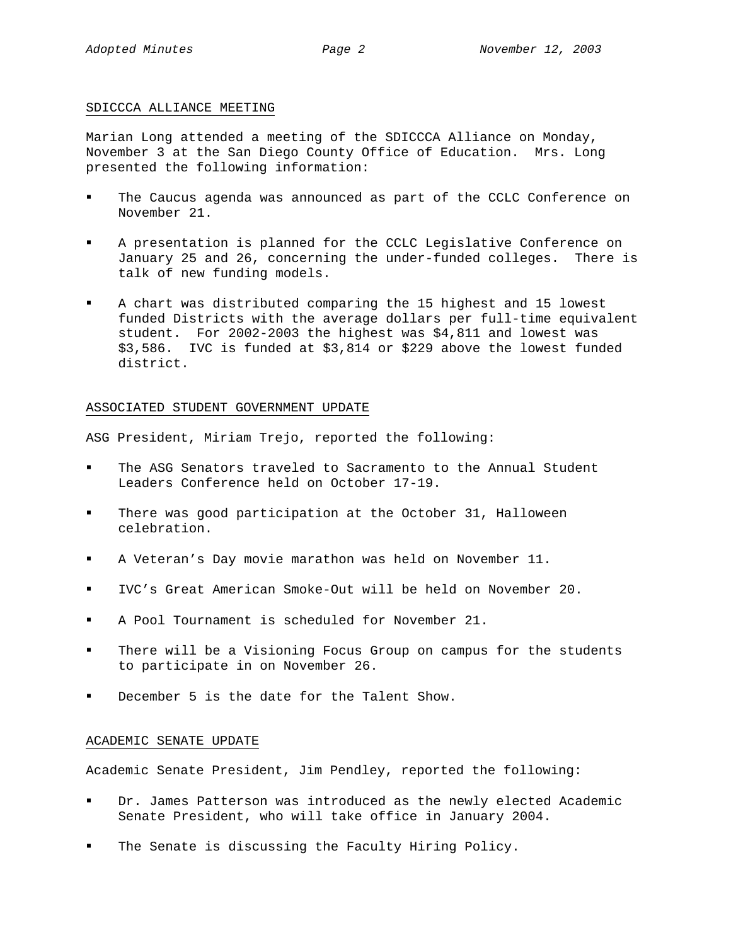## SDICCCA ALLIANCE MEETING

Marian Long attended a meeting of the SDICCCA Alliance on Monday, November 3 at the San Diego County Office of Education. Mrs. Long presented the following information:

- The Caucus agenda was announced as part of the CCLC Conference on November 21.
- A presentation is planned for the CCLC Legislative Conference on January 25 and 26, concerning the under-funded colleges. There is talk of new funding models.
- A chart was distributed comparing the 15 highest and 15 lowest funded Districts with the average dollars per full-time equivalent student. For 2002-2003 the highest was \$4,811 and lowest was \$3,586. IVC is funded at \$3,814 or \$229 above the lowest funded district.

# ASSOCIATED STUDENT GOVERNMENT UPDATE

ASG President, Miriam Trejo, reported the following:

- The ASG Senators traveled to Sacramento to the Annual Student Leaders Conference held on October 17-19.
- There was good participation at the October 31, Halloween celebration.
- A Veteran's Day movie marathon was held on November 11.
- IVC's Great American Smoke-Out will be held on November 20.
- A Pool Tournament is scheduled for November 21.
- There will be a Visioning Focus Group on campus for the students to participate in on November 26.
- December 5 is the date for the Talent Show.

# ACADEMIC SENATE UPDATE

Academic Senate President, Jim Pendley, reported the following:

- Dr. James Patterson was introduced as the newly elected Academic Senate President, who will take office in January 2004.
- The Senate is discussing the Faculty Hiring Policy.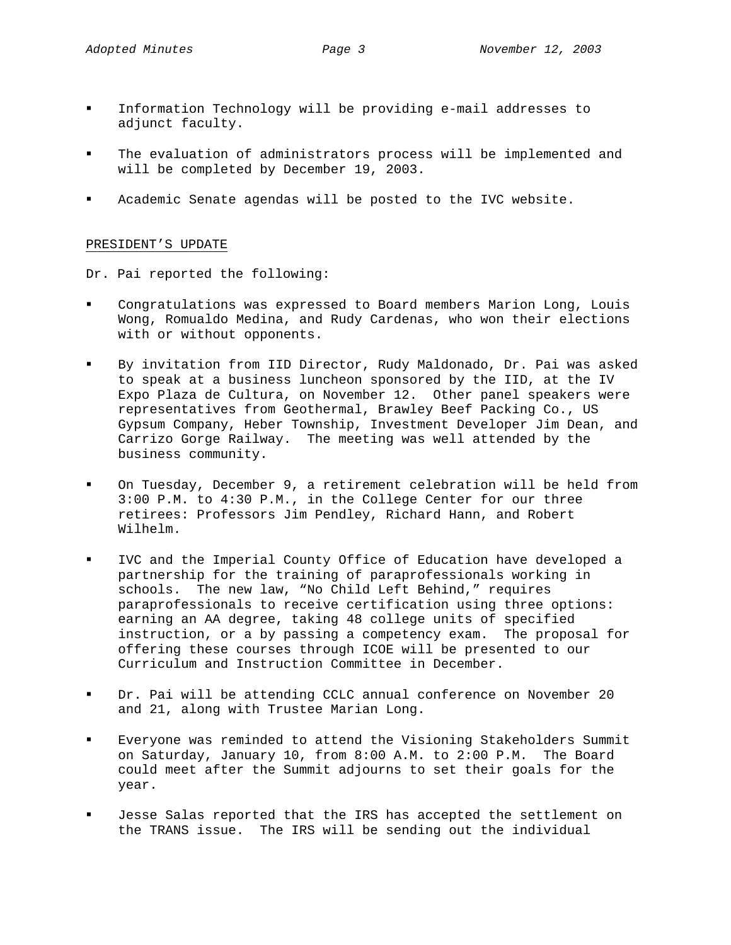- Information Technology will be providing e-mail addresses to adjunct faculty.
- The evaluation of administrators process will be implemented and will be completed by December 19, 2003.
- Academic Senate agendas will be posted to the IVC website.

# PRESIDENT'S UPDATE

Dr. Pai reported the following:

- Congratulations was expressed to Board members Marion Long, Louis Wong, Romualdo Medina, and Rudy Cardenas, who won their elections with or without opponents.
- By invitation from IID Director, Rudy Maldonado, Dr. Pai was asked to speak at a business luncheon sponsored by the IID, at the IV Expo Plaza de Cultura, on November 12. Other panel speakers were representatives from Geothermal, Brawley Beef Packing Co., US Gypsum Company, Heber Township, Investment Developer Jim Dean, and Carrizo Gorge Railway. The meeting was well attended by the business community.
- On Tuesday, December 9, a retirement celebration will be held from 3:00 P.M. to 4:30 P.M., in the College Center for our three retirees: Professors Jim Pendley, Richard Hann, and Robert Wilhelm.
- IVC and the Imperial County Office of Education have developed a partnership for the training of paraprofessionals working in schools. The new law, "No Child Left Behind," requires paraprofessionals to receive certification using three options: earning an AA degree, taking 48 college units of specified instruction, or a by passing a competency exam. The proposal for offering these courses through ICOE will be presented to our Curriculum and Instruction Committee in December.
- Dr. Pai will be attending CCLC annual conference on November 20 and 21, along with Trustee Marian Long.
- Everyone was reminded to attend the Visioning Stakeholders Summit on Saturday, January 10, from 8:00 A.M. to 2:00 P.M. The Board could meet after the Summit adjourns to set their goals for the year.
- Jesse Salas reported that the IRS has accepted the settlement on the TRANS issue. The IRS will be sending out the individual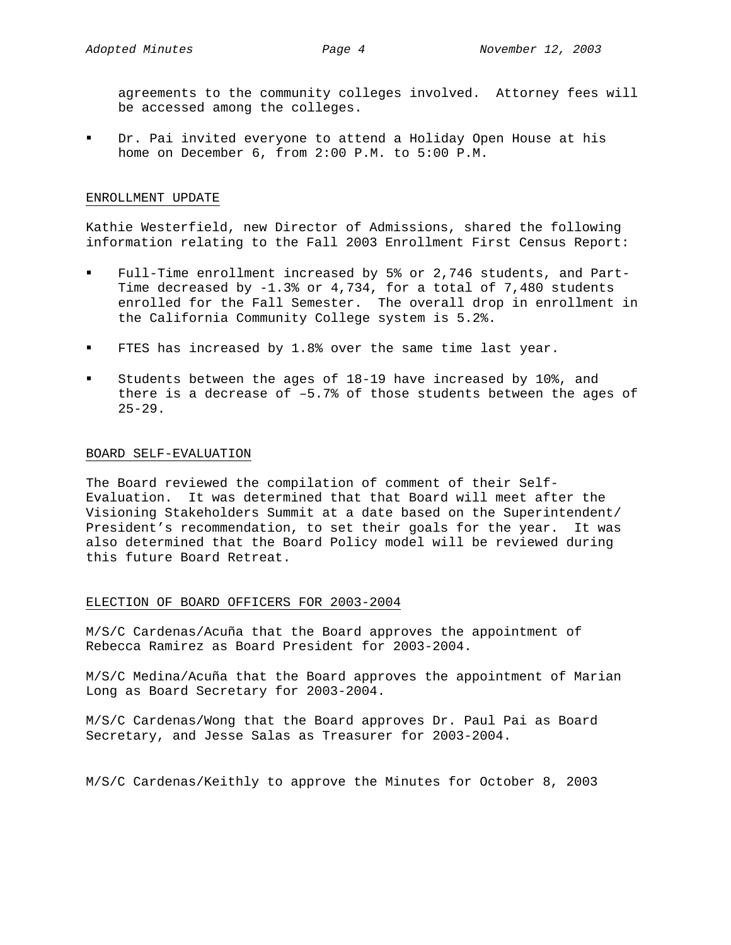agreements to the community colleges involved. Attorney fees will be accessed among the colleges.

 Dr. Pai invited everyone to attend a Holiday Open House at his home on December 6, from 2:00 P.M. to 5:00 P.M.

## ENROLLMENT UPDATE

Kathie Westerfield, new Director of Admissions, shared the following information relating to the Fall 2003 Enrollment First Census Report:

- Full-Time enrollment increased by 5% or 2,746 students, and Part-Time decreased by -1.3% or 4,734, for a total of 7,480 students enrolled for the Fall Semester. The overall drop in enrollment in the California Community College system is 5.2%.
- FTES has increased by 1.8% over the same time last year.
- Students between the ages of 18-19 have increased by 10%, and there is a decrease of –5.7% of those students between the ages of  $25 - 29$ .

## BOARD SELF-EVALUATION

The Board reviewed the compilation of comment of their Self-Evaluation. It was determined that that Board will meet after the Visioning Stakeholders Summit at a date based on the Superintendent/ President's recommendation, to set their goals for the year. It was also determined that the Board Policy model will be reviewed during this future Board Retreat.

# ELECTION OF BOARD OFFICERS FOR 2003-2004

M/S/C Cardenas/Acuña that the Board approves the appointment of Rebecca Ramirez as Board President for 2003-2004.

M/S/C Medina/Acuña that the Board approves the appointment of Marian Long as Board Secretary for 2003-2004.

M/S/C Cardenas/Wong that the Board approves Dr. Paul Pai as Board Secretary, and Jesse Salas as Treasurer for 2003-2004.

M/S/C Cardenas/Keithly to approve the Minutes for October 8, 2003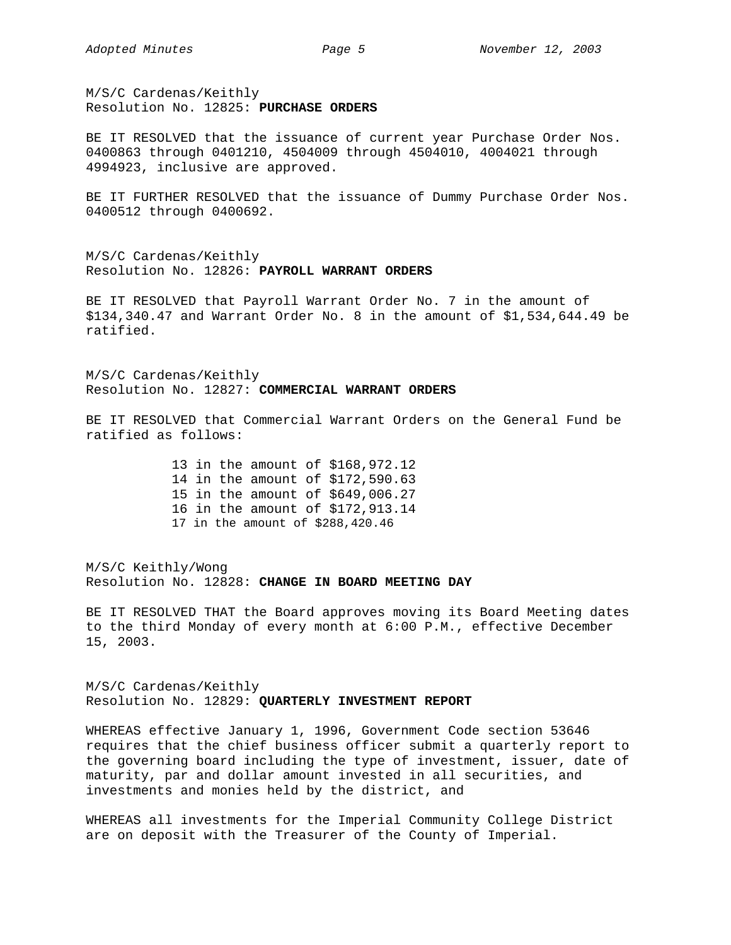M/S/C Cardenas/Keithly Resolution No. 12825: **PURCHASE ORDERS**

BE IT RESOLVED that the issuance of current year Purchase Order Nos. 0400863 through 0401210, 4504009 through 4504010, 4004021 through 4994923, inclusive are approved.

BE IT FURTHER RESOLVED that the issuance of Dummy Purchase Order Nos. 0400512 through 0400692.

M/S/C Cardenas/Keithly Resolution No. 12826: **PAYROLL WARRANT ORDERS**

BE IT RESOLVED that Payroll Warrant Order No. 7 in the amount of \$134,340.47 and Warrant Order No. 8 in the amount of \$1,534,644.49 be ratified.

M/S/C Cardenas/Keithly Resolution No. 12827: **COMMERCIAL WARRANT ORDERS**

BE IT RESOLVED that Commercial Warrant Orders on the General Fund be ratified as follows:

> 13 in the amount of \$168,972.12 14 in the amount of \$172,590.63 15 in the amount of \$649,006.27 16 in the amount of \$172,913.14 17 in the amount of \$288,420.46

M/S/C Keithly/Wong Resolution No. 12828: **CHANGE IN BOARD MEETING DAY** 

BE IT RESOLVED THAT the Board approves moving its Board Meeting dates to the third Monday of every month at 6:00 P.M., effective December 15, 2003.

M/S/C Cardenas/Keithly Resolution No. 12829: **QUARTERLY INVESTMENT REPORT** 

WHEREAS effective January 1, 1996, Government Code section 53646 requires that the chief business officer submit a quarterly report to the governing board including the type of investment, issuer, date of maturity, par and dollar amount invested in all securities, and investments and monies held by the district, and

WHEREAS all investments for the Imperial Community College District are on deposit with the Treasurer of the County of Imperial.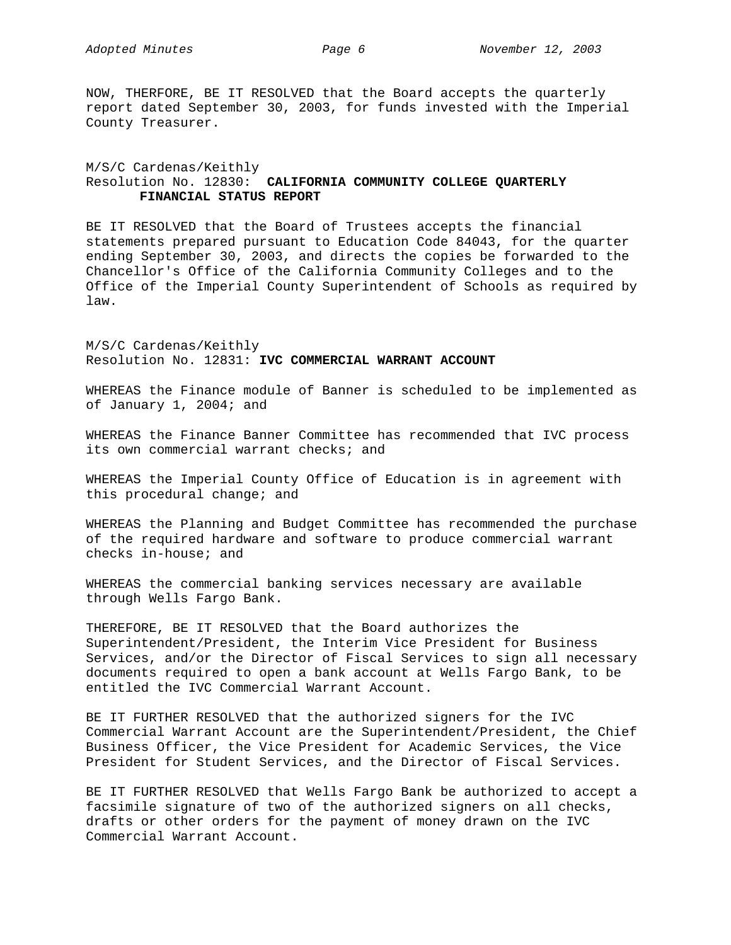NOW, THERFORE, BE IT RESOLVED that the Board accepts the quarterly report dated September 30, 2003, for funds invested with the Imperial County Treasurer.

# M/S/C Cardenas/Keithly Resolution No. 12830: **CALIFORNIA COMMUNITY COLLEGE QUARTERLY FINANCIAL STATUS REPORT**

BE IT RESOLVED that the Board of Trustees accepts the financial statements prepared pursuant to Education Code 84043, for the quarter ending September 30, 2003, and directs the copies be forwarded to the Chancellor's Office of the California Community Colleges and to the Office of the Imperial County Superintendent of Schools as required by law.

M/S/C Cardenas/Keithly Resolution No. 12831: **IVC COMMERCIAL WARRANT ACCOUNT** 

WHEREAS the Finance module of Banner is scheduled to be implemented as of January 1, 2004; and

WHEREAS the Finance Banner Committee has recommended that IVC process its own commercial warrant checks; and

WHEREAS the Imperial County Office of Education is in agreement with this procedural change; and

WHEREAS the Planning and Budget Committee has recommended the purchase of the required hardware and software to produce commercial warrant checks in-house; and

WHEREAS the commercial banking services necessary are available through Wells Fargo Bank.

THEREFORE, BE IT RESOLVED that the Board authorizes the Superintendent/President, the Interim Vice President for Business Services, and/or the Director of Fiscal Services to sign all necessary documents required to open a bank account at Wells Fargo Bank, to be entitled the IVC Commercial Warrant Account.

BE IT FURTHER RESOLVED that the authorized signers for the IVC Commercial Warrant Account are the Superintendent/President, the Chief Business Officer, the Vice President for Academic Services, the Vice President for Student Services, and the Director of Fiscal Services.

BE IT FURTHER RESOLVED that Wells Fargo Bank be authorized to accept a facsimile signature of two of the authorized signers on all checks, drafts or other orders for the payment of money drawn on the IVC Commercial Warrant Account.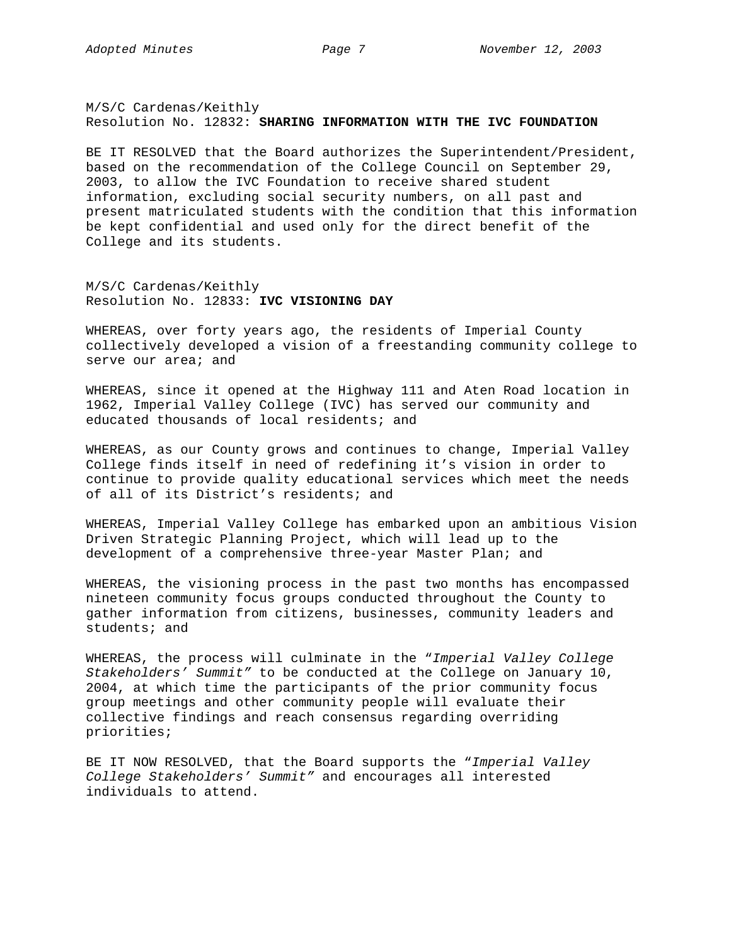M/S/C Cardenas/Keithly Resolution No. 12832: **SHARING INFORMATION WITH THE IVC FOUNDATION** 

BE IT RESOLVED that the Board authorizes the Superintendent/President, based on the recommendation of the College Council on September 29, 2003, to allow the IVC Foundation to receive shared student information, excluding social security numbers, on all past and present matriculated students with the condition that this information be kept confidential and used only for the direct benefit of the College and its students.

M/S/C Cardenas/Keithly Resolution No. 12833: **IVC VISIONING DAY** 

WHEREAS, over forty years ago, the residents of Imperial County collectively developed a vision of a freestanding community college to serve our area; and

WHEREAS, since it opened at the Highway 111 and Aten Road location in 1962, Imperial Valley College (IVC) has served our community and educated thousands of local residents; and

WHEREAS, as our County grows and continues to change, Imperial Valley College finds itself in need of redefining it's vision in order to continue to provide quality educational services which meet the needs of all of its District's residents; and

WHEREAS, Imperial Valley College has embarked upon an ambitious Vision Driven Strategic Planning Project, which will lead up to the development of a comprehensive three-year Master Plan; and

WHEREAS, the visioning process in the past two months has encompassed nineteen community focus groups conducted throughout the County to gather information from citizens, businesses, community leaders and students; and

WHEREAS, the process will culminate in the "*Imperial Valley College Stakeholders' Summit"* to be conducted at the College on January 10, 2004, at which time the participants of the prior community focus group meetings and other community people will evaluate their collective findings and reach consensus regarding overriding priorities;

BE IT NOW RESOLVED, that the Board supports the "*Imperial Valley College Stakeholders' Summit"* and encourages all interested individuals to attend.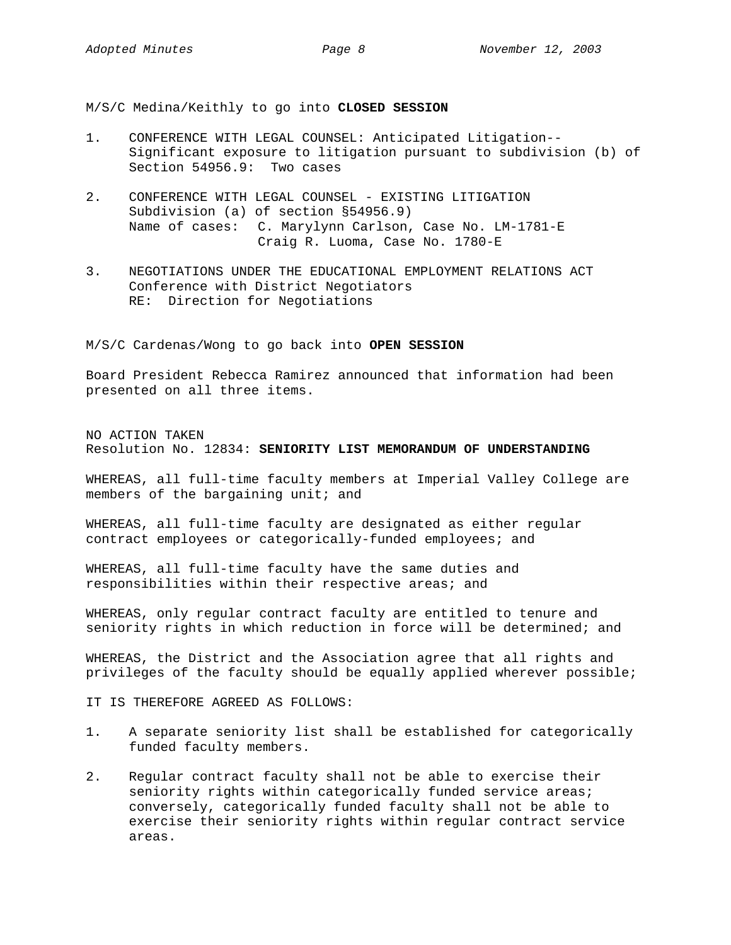M/S/C Medina/Keithly to go into **CLOSED SESSION** 

- 1. CONFERENCE WITH LEGAL COUNSEL: Anticipated Litigation-- Significant exposure to litigation pursuant to subdivision (b) of Section 54956.9: Two cases
- 2. CONFERENCE WITH LEGAL COUNSEL EXISTING LITIGATION Subdivision (a) of section §54956.9) Name of cases: C. Marylynn Carlson, Case No. LM-1781-E Craig R. Luoma, Case No. 1780-E
- 3. NEGOTIATIONS UNDER THE EDUCATIONAL EMPLOYMENT RELATIONS ACT Conference with District Negotiators RE: Direction for Negotiations

### M/S/C Cardenas/Wong to go back into **OPEN SESSION**

Board President Rebecca Ramirez announced that information had been presented on all three items.

NO ACTION TAKEN Resolution No. 12834: **SENIORITY LIST MEMORANDUM OF UNDERSTANDING**

WHEREAS, all full-time faculty members at Imperial Valley College are members of the bargaining unit; and

WHEREAS, all full-time faculty are designated as either regular contract employees or categorically-funded employees; and

WHEREAS, all full-time faculty have the same duties and responsibilities within their respective areas; and

WHEREAS, only regular contract faculty are entitled to tenure and seniority rights in which reduction in force will be determined; and

WHEREAS, the District and the Association agree that all rights and privileges of the faculty should be equally applied wherever possible;

IT IS THEREFORE AGREED AS FOLLOWS:

- 1. A separate seniority list shall be established for categorically funded faculty members.
- 2. Regular contract faculty shall not be able to exercise their seniority rights within categorically funded service areas; conversely, categorically funded faculty shall not be able to exercise their seniority rights within regular contract service areas.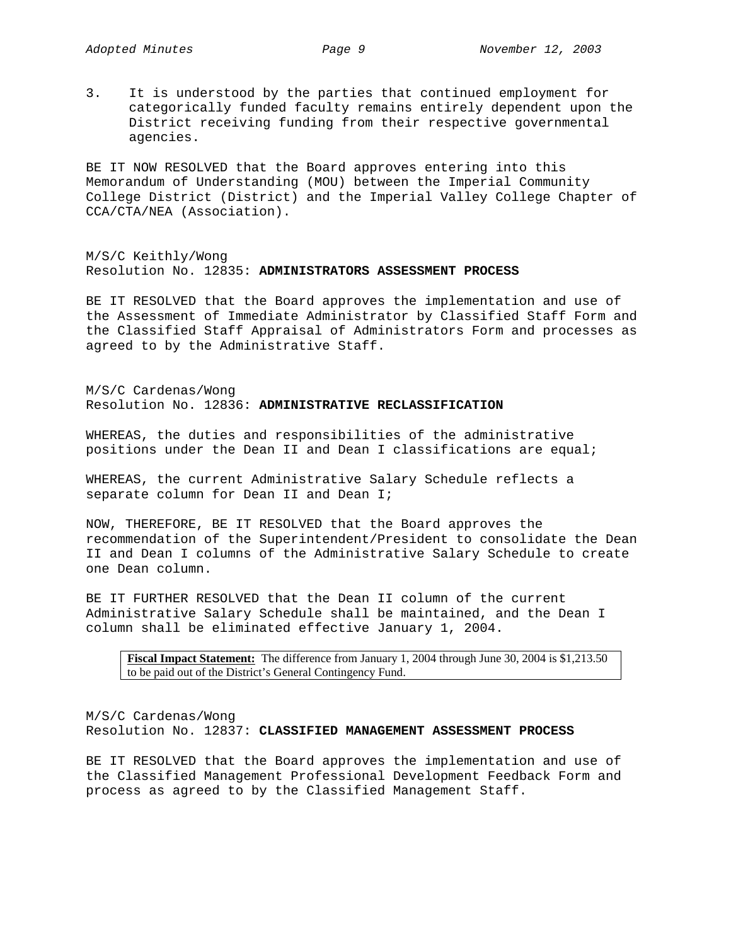3. It is understood by the parties that continued employment for categorically funded faculty remains entirely dependent upon the District receiving funding from their respective governmental agencies.

BE IT NOW RESOLVED that the Board approves entering into this Memorandum of Understanding (MOU) between the Imperial Community College District (District) and the Imperial Valley College Chapter of CCA/CTA/NEA (Association).

M/S/C Keithly/Wong Resolution No. 12835: **ADMINISTRATORS ASSESSMENT PROCESS** 

BE IT RESOLVED that the Board approves the implementation and use of the Assessment of Immediate Administrator by Classified Staff Form and the Classified Staff Appraisal of Administrators Form and processes as agreed to by the Administrative Staff.

M/S/C Cardenas/Wong Resolution No. 12836: **ADMINISTRATIVE RECLASSIFICATION** 

WHEREAS, the duties and responsibilities of the administrative positions under the Dean II and Dean I classifications are equal;

WHEREAS, the current Administrative Salary Schedule reflects a separate column for Dean II and Dean I;

NOW, THEREFORE, BE IT RESOLVED that the Board approves the recommendation of the Superintendent/President to consolidate the Dean II and Dean I columns of the Administrative Salary Schedule to create one Dean column.

BE IT FURTHER RESOLVED that the Dean II column of the current Administrative Salary Schedule shall be maintained, and the Dean I column shall be eliminated effective January 1, 2004.

**Fiscal Impact Statement:** The difference from January 1, 2004 through June 30, 2004 is \$1,213.50 to be paid out of the District's General Contingency Fund.

M/S/C Cardenas/Wong Resolution No. 12837: **CLASSIFIED MANAGEMENT ASSESSMENT PROCESS** 

BE IT RESOLVED that the Board approves the implementation and use of the Classified Management Professional Development Feedback Form and process as agreed to by the Classified Management Staff.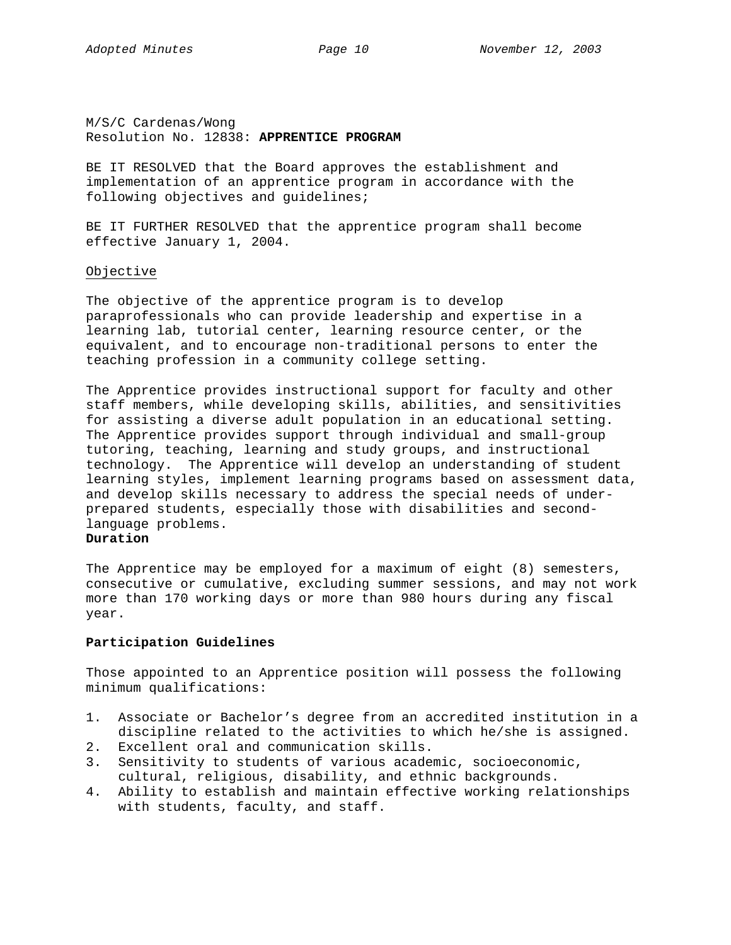M/S/C Cardenas/Wong Resolution No. 12838: **APPRENTICE PROGRAM**

BE IT RESOLVED that the Board approves the establishment and implementation of an apprentice program in accordance with the following objectives and guidelines;

BE IT FURTHER RESOLVED that the apprentice program shall become effective January 1, 2004.

## Objective

The objective of the apprentice program is to develop paraprofessionals who can provide leadership and expertise in a learning lab, tutorial center, learning resource center, or the equivalent, and to encourage non-traditional persons to enter the teaching profession in a community college setting.

The Apprentice provides instructional support for faculty and other staff members, while developing skills, abilities, and sensitivities for assisting a diverse adult population in an educational setting. The Apprentice provides support through individual and small-group tutoring, teaching, learning and study groups, and instructional technology. The Apprentice will develop an understanding of student learning styles, implement learning programs based on assessment data, and develop skills necessary to address the special needs of underprepared students, especially those with disabilities and secondlanguage problems.

# **Duration**

The Apprentice may be employed for a maximum of eight (8) semesters, consecutive or cumulative, excluding summer sessions, and may not work more than 170 working days or more than 980 hours during any fiscal year.

# **Participation Guidelines**

Those appointed to an Apprentice position will possess the following minimum qualifications:

- 1. Associate or Bachelor's degree from an accredited institution in a discipline related to the activities to which he/she is assigned.
- 2. Excellent oral and communication skills.
- 3. Sensitivity to students of various academic, socioeconomic, cultural, religious, disability, and ethnic backgrounds.
- 4. Ability to establish and maintain effective working relationships with students, faculty, and staff.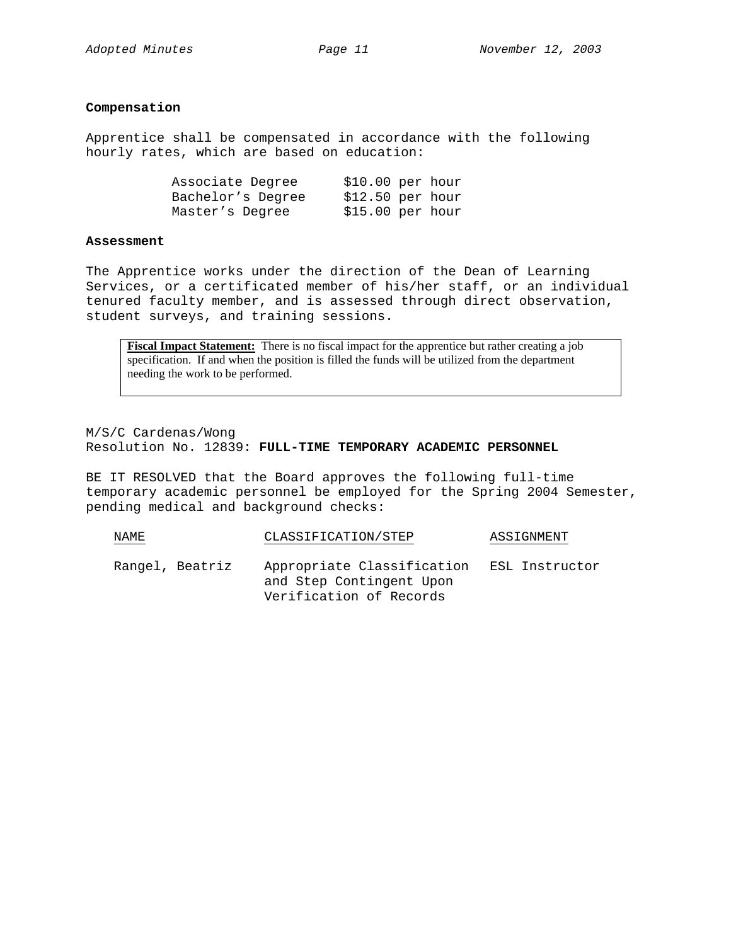# **Compensation**

Apprentice shall be compensated in accordance with the following hourly rates, which are based on education:

| Associate Degree  | \$10.00 per hour |  |  |
|-------------------|------------------|--|--|
| Bachelor's Degree | \$12.50 per hour |  |  |
| Master's Degree   | \$15.00 per hour |  |  |

### **Assessment**

The Apprentice works under the direction of the Dean of Learning Services, or a certificated member of his/her staff, or an individual tenured faculty member, and is assessed through direct observation, student surveys, and training sessions.

**Fiscal Impact Statement:** There is no fiscal impact for the apprentice but rather creating a job specification. If and when the position is filled the funds will be utilized from the department needing the work to be performed.

M/S/C Cardenas/Wong Resolution No. 12839: **FULL-TIME TEMPORARY ACADEMIC PERSONNEL**

BE IT RESOLVED that the Board approves the following full-time temporary academic personnel be employed for the Spring 2004 Semester, pending medical and background checks:

| NAME            | CLASSIFICATION/STEP |                                                                                   | ASSIGNMENT     |
|-----------------|---------------------|-----------------------------------------------------------------------------------|----------------|
| Rangel, Beatriz |                     | Appropriate Classification<br>and Step Contingent Upon<br>Verification of Records | ESL Instructor |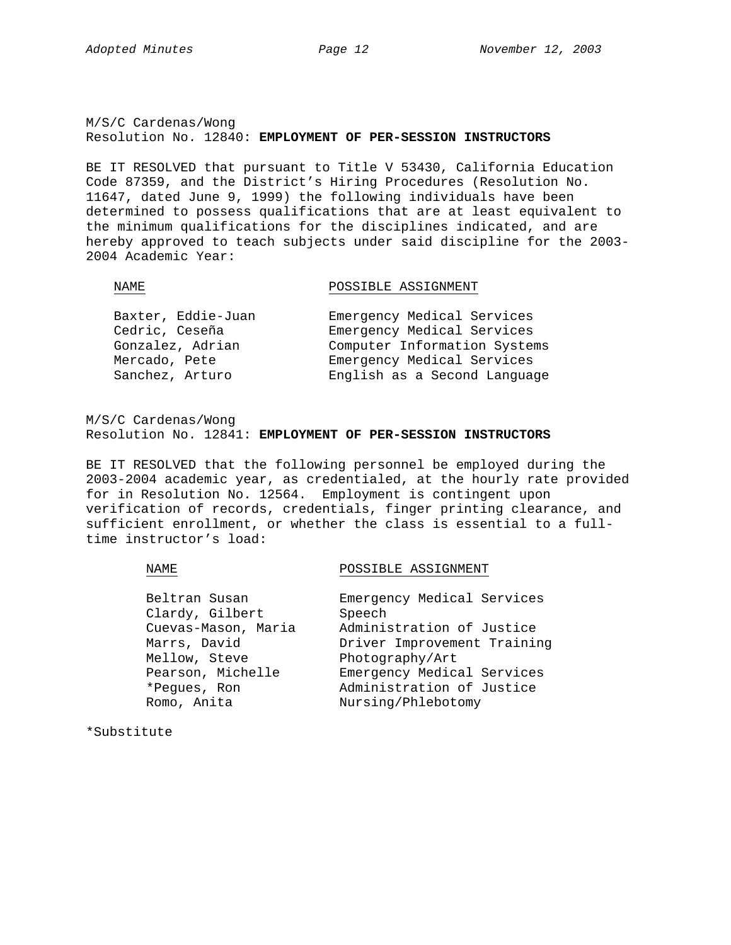M/S/C Cardenas/Wong Resolution No. 12840: **EMPLOYMENT OF PER-SESSION INSTRUCTORS**

BE IT RESOLVED that pursuant to Title V 53430, California Education Code 87359, and the District's Hiring Procedures (Resolution No. 11647, dated June 9, 1999) the following individuals have been determined to possess qualifications that are at least equivalent to the minimum qualifications for the disciplines indicated, and are hereby approved to teach subjects under said discipline for the 2003- 2004 Academic Year:

NAME NAME POSSIBLE ASSIGNMENT

| Baxter, Eddie-Juan | Emergency Medical Services   |
|--------------------|------------------------------|
| Cedric, Ceseña     | Emergency Medical Services   |
| Gonzalez, Adrian   | Computer Information Systems |
| Mercado, Pete      | Emergency Medical Services   |
| Sanchez, Arturo    | English as a Second Language |

M/S/C Cardenas/Wong Resolution No. 12841: **EMPLOYMENT OF PER-SESSION INSTRUCTORS**

BE IT RESOLVED that the following personnel be employed during the 2003-2004 academic year, as credentialed, at the hourly rate provided for in Resolution No. 12564. Employment is contingent upon verification of records, credentials, finger printing clearance, and sufficient enrollment, or whether the class is essential to a fulltime instructor's load:

NAME POSSIBLE ASSIGNMENT

| Beltran Susan       | Emergency Medical Services  |
|---------------------|-----------------------------|
| Clardy, Gilbert     | Speech                      |
| Cuevas-Mason, Maria | Administration of Justice   |
| Marrs, David        | Driver Improvement Training |
| Mellow, Steve       | Photography/Art             |
| Pearson, Michelle   | Emergency Medical Services  |
| *Peques, Ron        | Administration of Justice   |
| Romo, Anita         | Nursing/Phlebotomy          |

\*Substitute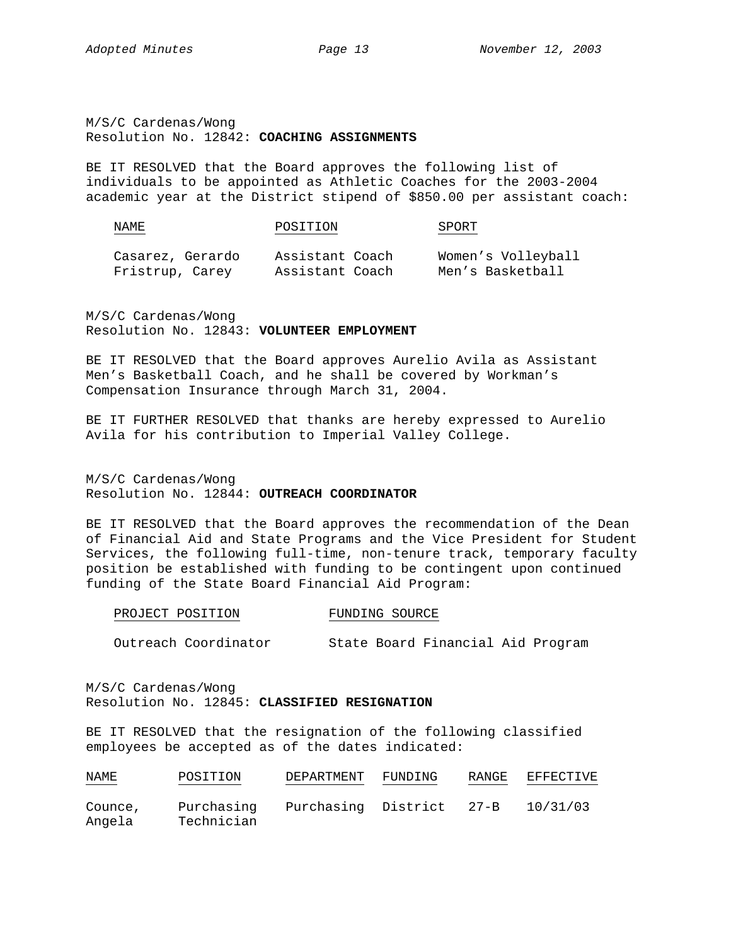M/S/C Cardenas/Wong Resolution No. 12842: **COACHING ASSIGNMENTS**

BE IT RESOLVED that the Board approves the following list of individuals to be appointed as Athletic Coaches for the 2003-2004 academic year at the District stipend of \$850.00 per assistant coach:

| NAME | POSITION<br>$\sim$ $\sim$ | ىر<br>ж |
|------|---------------------------|---------|
|      |                           |         |

Casarez, Gerardo Assistant Coach Women's Volleyball Fristrup, Carey Assistant Coach Men's Basketball

M/S/C Cardenas/Wong Resolution No. 12843: **VOLUNTEER EMPLOYMENT**

BE IT RESOLVED that the Board approves Aurelio Avila as Assistant Men's Basketball Coach, and he shall be covered by Workman's Compensation Insurance through March 31, 2004.

BE IT FURTHER RESOLVED that thanks are hereby expressed to Aurelio Avila for his contribution to Imperial Valley College.

M/S/C Cardenas/Wong Resolution No. 12844: **OUTREACH COORDINATOR**

BE IT RESOLVED that the Board approves the recommendation of the Dean of Financial Aid and State Programs and the Vice President for Student Services, the following full-time, non-tenure track, temporary faculty position be established with funding to be contingent upon continued funding of the State Board Financial Aid Program:

|  |  | PROJECT POSITION |  |  | FUNDING SOURCE |
|--|--|------------------|--|--|----------------|
|--|--|------------------|--|--|----------------|

Outreach Coordinator State Board Financial Aid Program

M/S/C Cardenas/Wong Resolution No. 12845: **CLASSIFIED RESIGNATION**

BE IT RESOLVED that the resignation of the following classified employees be accepted as of the dates indicated:

| NAME<br><b>Contract Contract Contract Contract</b> | POSITION   | DEPARTMENT               | FUNDING | RANGE | EFFECTIVE |
|----------------------------------------------------|------------|--------------------------|---------|-------|-----------|
| Counce,                                            | Purchasing | Purchasing District 27-B |         |       | 10/31/03  |
| Angela                                             | Technician |                          |         |       |           |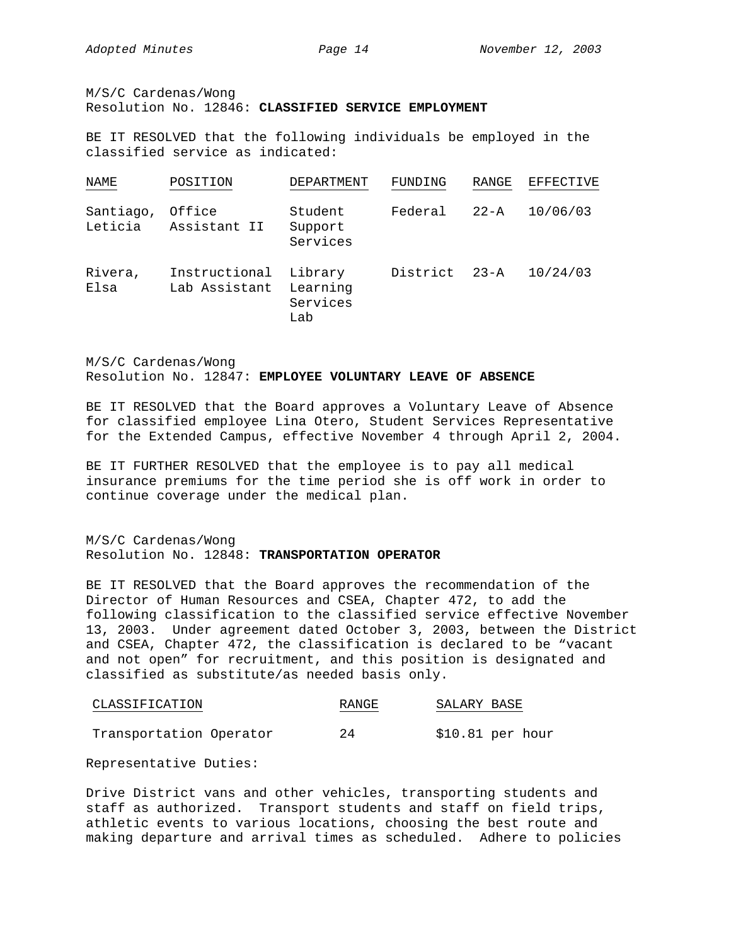M/S/C Cardenas/Wong

# Resolution No. 12846: **CLASSIFIED SERVICE EMPLOYMENT**

BE IT RESOLVED that the following individuals be employed in the classified service as indicated:

| NAME                 | POSITION                       | DEPARTMENT                             | FUNDING       | RANGE    | EFFECTIVE |
|----------------------|--------------------------------|----------------------------------------|---------------|----------|-----------|
| Santiago,<br>Leticia | Office<br>Assistant II         | Student<br>Support<br>Services         | Federal       | $22 - A$ | 10/06/03  |
| Rivera,<br>Elsa      | Instructional<br>Lab Assistant | Library<br>Learning<br>Services<br>Lab | District 23-A |          | 10/24/03  |

M/S/C Cardenas/Wong Resolution No. 12847: **EMPLOYEE VOLUNTARY LEAVE OF ABSENCE**

BE IT RESOLVED that the Board approves a Voluntary Leave of Absence for classified employee Lina Otero, Student Services Representative for the Extended Campus, effective November 4 through April 2, 2004.

BE IT FURTHER RESOLVED that the employee is to pay all medical insurance premiums for the time period she is off work in order to continue coverage under the medical plan.

# M/S/C Cardenas/Wong Resolution No. 12848: **TRANSPORTATION OPERATOR**

BE IT RESOLVED that the Board approves the recommendation of the Director of Human Resources and CSEA, Chapter 472, to add the following classification to the classified service effective November 13, 2003. Under agreement dated October 3, 2003, between the District and CSEA, Chapter 472, the classification is declared to be "vacant and not open" for recruitment, and this position is designated and classified as substitute/as needed basis only.

| CLASSIFICATION          | RANGE | SALARY BASE      |
|-------------------------|-------|------------------|
| Transportation Operator | 24    | \$10.81 per hour |

Representative Duties:

Drive District vans and other vehicles, transporting students and staff as authorized. Transport students and staff on field trips, athletic events to various locations, choosing the best route and making departure and arrival times as scheduled. Adhere to policies